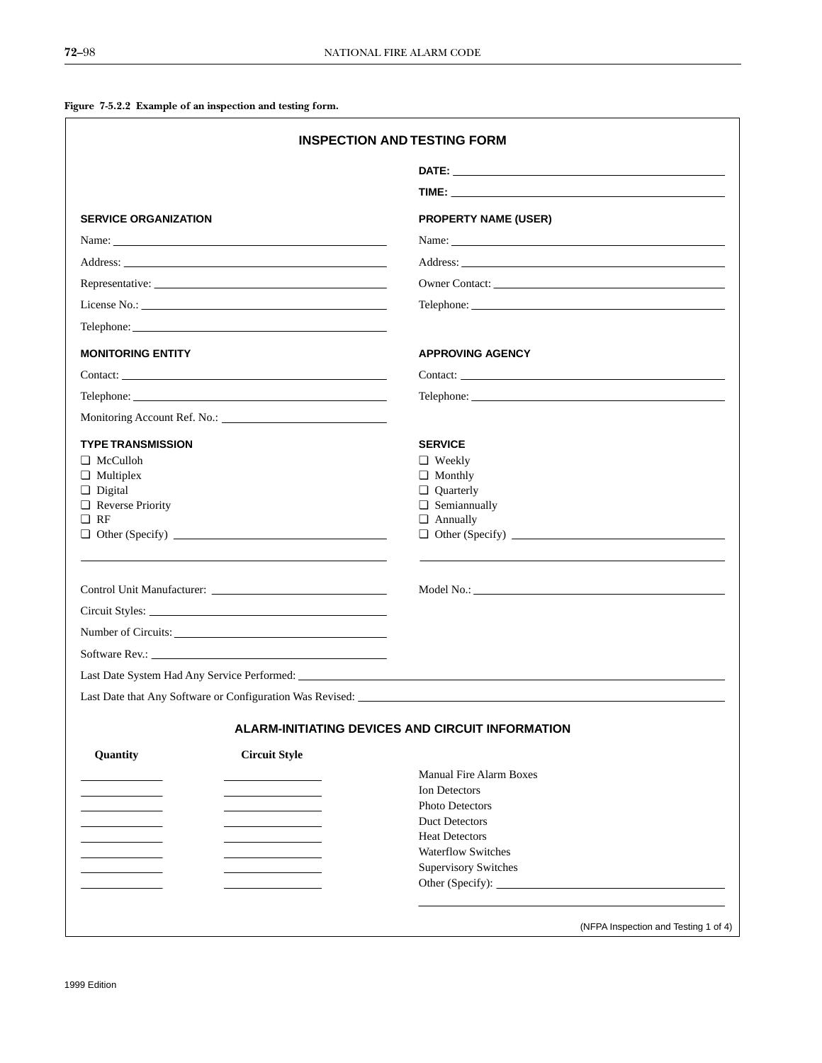**Figure 7-5.2.2 Example of an inspection and testing form.**

| <b>SERVICE ORGANIZATION</b>          |                      | <b>PROPERTY NAME (USER)</b>                      |  |  |  |
|--------------------------------------|----------------------|--------------------------------------------------|--|--|--|
| Name: Name:                          |                      | Name: Name:                                      |  |  |  |
|                                      |                      |                                                  |  |  |  |
| Representative:                      |                      |                                                  |  |  |  |
|                                      |                      |                                                  |  |  |  |
|                                      |                      |                                                  |  |  |  |
| <b>MONITORING ENTITY</b>             |                      | <b>APPROVING AGENCY</b>                          |  |  |  |
| Contact:                             |                      |                                                  |  |  |  |
|                                      |                      |                                                  |  |  |  |
|                                      |                      |                                                  |  |  |  |
| <b>TYPE TRANSMISSION</b>             |                      | <b>SERVICE</b>                                   |  |  |  |
| $\Box$ McCulloh                      |                      | $\Box$ Weekly                                    |  |  |  |
| $\Box$ Multiplex                     |                      | $\Box$ Monthly                                   |  |  |  |
| <b>Digital</b>                       |                      | <b>Quarterly</b>                                 |  |  |  |
| $\Box$ Reverse Priority<br>$\Box$ RF |                      | Semiannually<br><b>4</b> Annually                |  |  |  |
|                                      |                      |                                                  |  |  |  |
|                                      |                      |                                                  |  |  |  |
|                                      |                      |                                                  |  |  |  |
|                                      |                      |                                                  |  |  |  |
| Number of Circuits:                  |                      |                                                  |  |  |  |
| Software Rev.:                       |                      |                                                  |  |  |  |
|                                      |                      |                                                  |  |  |  |
|                                      |                      |                                                  |  |  |  |
|                                      |                      | ALARM-INITIATING DEVICES AND CIRCUIT INFORMATION |  |  |  |
| Quantity                             | <b>Circuit Style</b> |                                                  |  |  |  |
|                                      |                      | <b>Manual Fire Alarm Boxes</b>                   |  |  |  |
|                                      |                      | Ion Detectors                                    |  |  |  |
|                                      |                      | Photo Detectors                                  |  |  |  |
|                                      |                      | <b>Duct Detectors</b><br><b>Heat Detectors</b>   |  |  |  |
|                                      |                      | <b>Waterflow Switches</b>                        |  |  |  |
|                                      |                      | <b>Supervisory Switches</b>                      |  |  |  |
|                                      |                      |                                                  |  |  |  |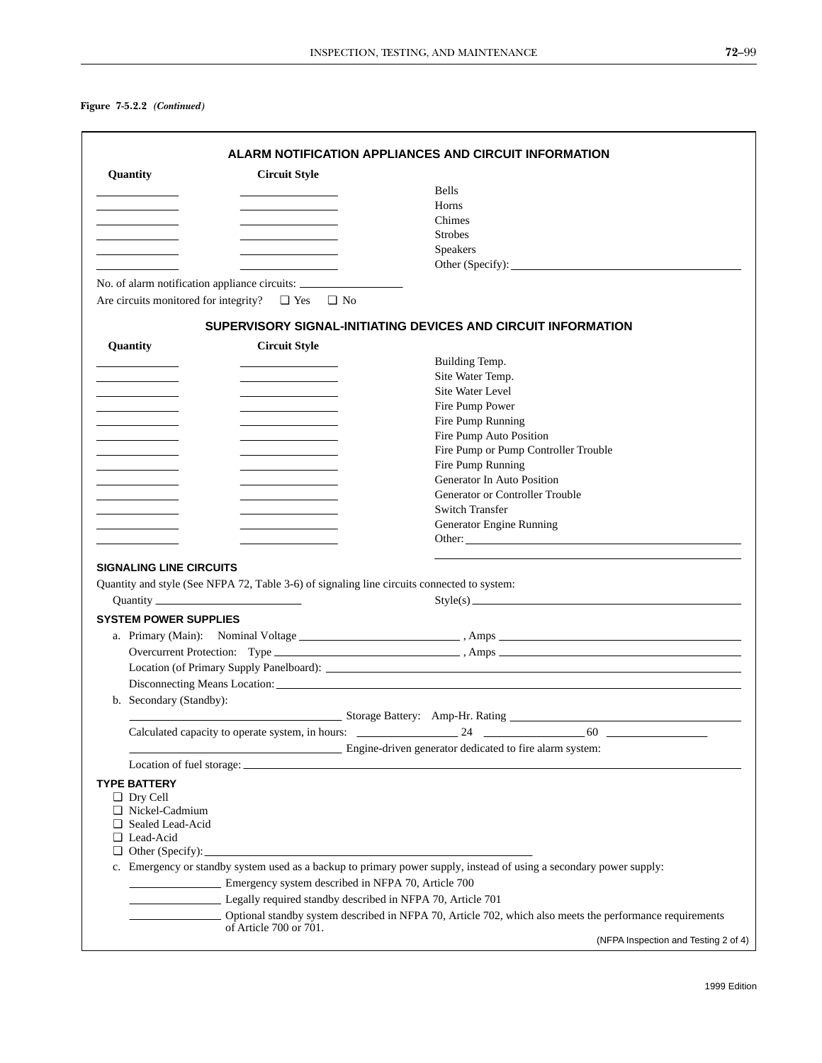## **Figure 7-5.2.2** *(Continued)*

| Quantity                       | <b>Circuit Style</b>                                                                        |                                                                                                                     |
|--------------------------------|---------------------------------------------------------------------------------------------|---------------------------------------------------------------------------------------------------------------------|
|                                |                                                                                             | <b>Bells</b>                                                                                                        |
|                                |                                                                                             | Horns                                                                                                               |
|                                |                                                                                             | Chimes                                                                                                              |
|                                |                                                                                             | <b>Strobes</b>                                                                                                      |
|                                |                                                                                             | <b>Speakers</b>                                                                                                     |
|                                |                                                                                             |                                                                                                                     |
|                                | No. of alarm notification appliance circuits: ___________________________________           |                                                                                                                     |
|                                | Are circuits monitored for integrity? $\Box$ Yes $\Box$ No                                  |                                                                                                                     |
|                                |                                                                                             | SUPERVISORY SIGNAL-INITIATING DEVICES AND CIRCUIT INFORMATION                                                       |
| Quantity                       | <b>Circuit Style</b>                                                                        |                                                                                                                     |
|                                |                                                                                             | Building Temp.                                                                                                      |
|                                |                                                                                             | Site Water Temp.                                                                                                    |
|                                |                                                                                             | Site Water Level                                                                                                    |
|                                |                                                                                             | Fire Pump Power                                                                                                     |
|                                |                                                                                             | Fire Pump Running                                                                                                   |
|                                |                                                                                             | Fire Pump Auto Position                                                                                             |
|                                |                                                                                             | Fire Pump or Pump Controller Trouble                                                                                |
|                                |                                                                                             | Fire Pump Running                                                                                                   |
|                                |                                                                                             | Generator In Auto Position                                                                                          |
|                                |                                                                                             | Generator or Controller Trouble                                                                                     |
|                                |                                                                                             | <b>Switch Transfer</b>                                                                                              |
|                                |                                                                                             | Generator Engine Running                                                                                            |
|                                |                                                                                             |                                                                                                                     |
|                                |                                                                                             |                                                                                                                     |
| <b>SIGNALING LINE CIRCUITS</b> |                                                                                             |                                                                                                                     |
|                                | Quantity and style (See NFPA 72, Table 3-6) of signaling line circuits connected to system: |                                                                                                                     |
|                                |                                                                                             | Style(s)                                                                                                            |
| <b>SYSTEM POWER SUPPLIES</b>   |                                                                                             |                                                                                                                     |
|                                |                                                                                             |                                                                                                                     |
|                                |                                                                                             |                                                                                                                     |
|                                |                                                                                             |                                                                                                                     |
|                                |                                                                                             |                                                                                                                     |
|                                |                                                                                             |                                                                                                                     |
| b. Secondary (Standby):        |                                                                                             |                                                                                                                     |
|                                |                                                                                             |                                                                                                                     |
|                                |                                                                                             | 60                                                                                                                  |
|                                |                                                                                             | Engine-driven generator dedicated to fire alarm system:                                                             |
|                                |                                                                                             |                                                                                                                     |
| <b>TYPE BATTERY</b>            |                                                                                             |                                                                                                                     |
| $\Box$ Dry Cell                |                                                                                             |                                                                                                                     |
| □ Nickel-Cadmium               |                                                                                             |                                                                                                                     |
| □ Sealed Lead-Acid             |                                                                                             |                                                                                                                     |
| □ Lead-Acid                    |                                                                                             |                                                                                                                     |
|                                |                                                                                             |                                                                                                                     |
|                                |                                                                                             | c. Emergency or standby system used as a backup to primary power supply, instead of using a secondary power supply: |
|                                | Emergency system described in NFPA 70, Article 700                                          |                                                                                                                     |
|                                | Legally required standby described in NFPA 70, Article 701                                  |                                                                                                                     |
|                                |                                                                                             | Optional standby system described in NFPA 70, Article 702, which also meets the performance requirements            |
|                                |                                                                                             |                                                                                                                     |
|                                | of Article 700 or 701.                                                                      |                                                                                                                     |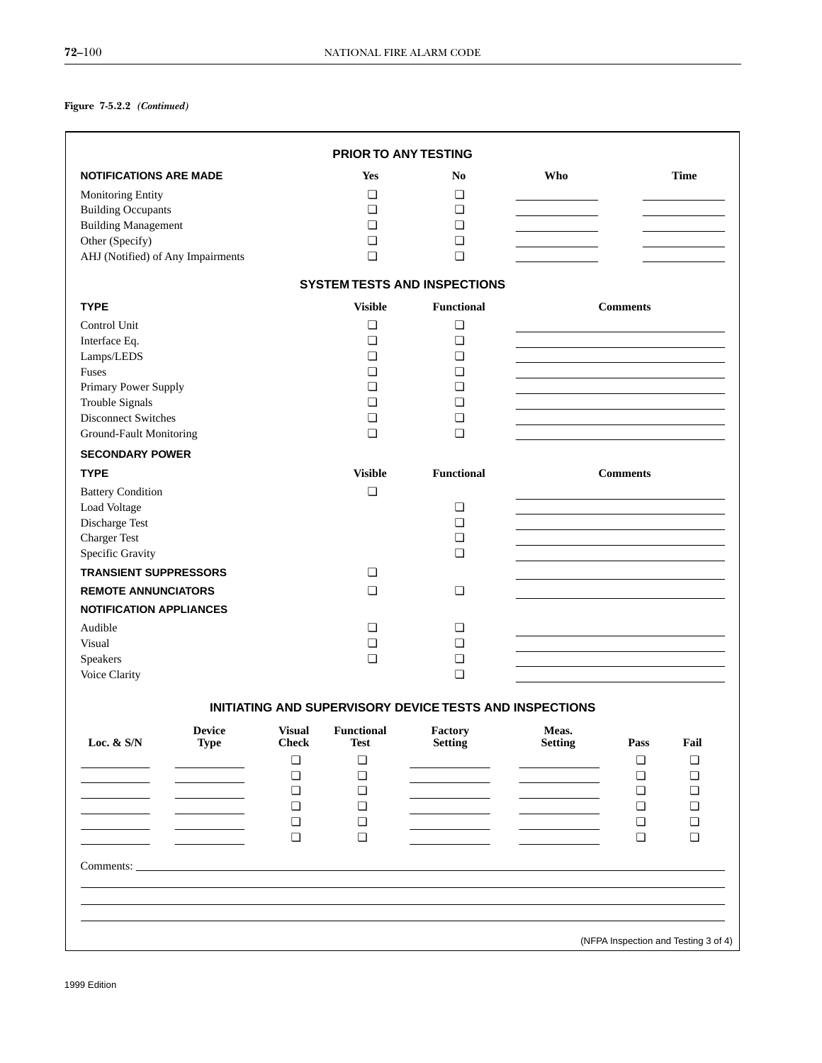## **Figure 7-5.2.2** *(Continued)*

|                                   |                              |                               | PRIOR TO ANY TESTING      |                                                         |                         |                 |             |
|-----------------------------------|------------------------------|-------------------------------|---------------------------|---------------------------------------------------------|-------------------------|-----------------|-------------|
| <b>NOTIFICATIONS ARE MADE</b>     |                              |                               | <b>Yes</b>                | N <sub>0</sub>                                          | Who                     |                 | <b>Time</b> |
| Monitoring Entity                 |                              |                               | ❏                         | $\Box$                                                  |                         |                 |             |
| <b>Building Occupants</b>         |                              |                               | ❏                         | ◘                                                       |                         |                 |             |
| <b>Building Management</b>        |                              |                               | ❏                         | $\Box$                                                  |                         |                 |             |
| Other (Specify)                   |                              |                               | $\Box$                    | $\Box$                                                  |                         |                 |             |
| AHJ (Notified) of Any Impairments |                              |                               | ❏                         | $\Box$                                                  |                         |                 |             |
|                                   |                              |                               |                           | <b>SYSTEM TESTS AND INSPECTIONS</b>                     |                         |                 |             |
| <b>TYPE</b>                       |                              |                               | <b>Visible</b>            | <b>Functional</b>                                       |                         | <b>Comments</b> |             |
| Control Unit                      |                              |                               | $\Box$                    | $\Box$                                                  |                         |                 |             |
| Interface Eq.                     |                              |                               | ❏                         | ❏                                                       |                         |                 |             |
| Lamps/LEDS                        |                              |                               | ❏                         | ❏                                                       |                         |                 |             |
| Fuses                             |                              |                               | ❏                         | $\Box$                                                  |                         |                 |             |
| Primary Power Supply              |                              |                               | ❏                         | ◘                                                       |                         |                 |             |
| Trouble Signals                   |                              |                               | ❏                         | $\Box$                                                  |                         |                 |             |
| <b>Disconnect Switches</b>        |                              |                               | $\Box$                    | $\Box$                                                  |                         |                 |             |
| Ground-Fault Monitoring           |                              |                               | ❏                         | $\Box$                                                  |                         |                 |             |
| <b>SECONDARY POWER</b>            |                              |                               |                           |                                                         |                         |                 |             |
| <b>TYPE</b>                       |                              |                               | <b>Visible</b>            | <b>Functional</b>                                       |                         | <b>Comments</b> |             |
| <b>Battery Condition</b>          |                              |                               | $\Box$                    |                                                         |                         |                 |             |
| Load Voltage                      |                              |                               |                           | $\Box$                                                  |                         |                 |             |
| Discharge Test                    |                              |                               |                           | $\Box$                                                  |                         |                 |             |
| <b>Charger Test</b>               |                              |                               |                           | $\Box$                                                  |                         |                 |             |
| Specific Gravity                  |                              |                               |                           | $\Box$                                                  |                         |                 |             |
| <b>TRANSIENT SUPPRESSORS</b>      |                              |                               | ❏                         |                                                         |                         |                 |             |
| <b>REMOTE ANNUNCIATORS</b>        |                              |                               | ❏                         | $\Box$                                                  |                         |                 |             |
| <b>NOTIFICATION APPLIANCES</b>    |                              |                               |                           |                                                         |                         |                 |             |
| Audible                           |                              |                               | ❏                         | $\Box$                                                  |                         |                 |             |
| Visual                            |                              |                               | $\Box$                    | $\Box$                                                  |                         |                 |             |
| Speakers                          |                              |                               | ❏                         | $\Box$                                                  |                         |                 |             |
| Voice Clarity                     |                              |                               |                           | $\Box$                                                  |                         |                 |             |
|                                   |                              |                               |                           | INITIATING AND SUPERVISORY DEVICE TESTS AND INSPECTIONS |                         |                 |             |
| Loc. $&$ S/N                      | <b>Device</b><br><b>Type</b> | <b>Visual</b><br><b>Check</b> | <b>Functional</b><br>Test | Factory<br><b>Setting</b>                               | Meas.<br><b>Setting</b> | Pass            | Fail        |
|                                   |                              | $\Box$                        | $\Box$                    |                                                         |                         | $\Box$          | $\Box$      |
|                                   |                              | $\Box$                        | $\Box$                    |                                                         |                         | ❏               | $\Box$      |
|                                   |                              | $\Box$                        | ❏                         |                                                         |                         | ❏               | $\Box$      |
|                                   |                              | $\Box$                        | $\Box$                    |                                                         |                         | ❏               | $\Box$      |
|                                   |                              | ❏                             | ❏                         |                                                         |                         | ❏               | $\Box$      |
|                                   |                              | $\Box$                        | $\Box$                    |                                                         |                         | $\Box$          | $\Box$      |
|                                   |                              |                               |                           |                                                         |                         |                 |             |
| Comments: __                      |                              |                               |                           |                                                         |                         |                 |             |
|                                   |                              |                               |                           |                                                         |                         |                 |             |
|                                   |                              |                               |                           |                                                         |                         |                 |             |